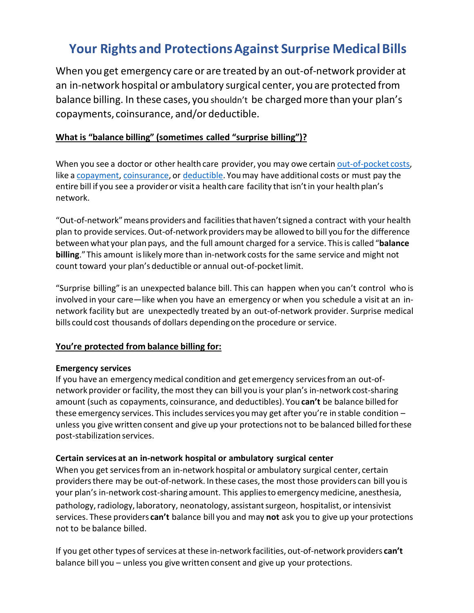# **Your Rights and ProtectionsAgainst Surprise Medical Bills**

When you get emergency care or are treated by an out-of-network provider at an in-network hospital or ambulatory surgical center, you are protected from balance billing. In these cases, you shouldn't be chargedmore than your plan's copayments, coinsurance, and/or deductible.

## **What is "balance billing" (sometimes called "surprise billing")?**

When you see a doctor or other health care provider, you may owe certain [out-of-pocket](https://www.healthcare.gov/glossary/out-of-pocket-costs/) costs, like a [copayment,](https://www.healthcare.gov/glossary/co-payment/) [coinsurance,](https://www.healthcare.gov/glossary/co-insurance/) or [deductible.](https://www.healthcare.gov/glossary/deductible/) Youmay have additional costs or must pay the entire bill if you see a provideror visit a health care facility that isn'tin your health plan's network.

"Out-of-network"meansproviders and facilitiesthat haven'tsigned a contract with your health plan to provide services.Out-of-network providersmay be allowed to bill you for the difference between what your plan pays, and the full amount charged for a service. Thisis called "**balance billing**."This amount islikelymore than in-network costs for the same service and might not count toward your plan's deductible or annual out-of-pocketlimit.

"Surprise billing" is an unexpected balance bill. This can happen when you can't control who is involved in your care—like when you have an emergency or when you schedule a visit at an innetwork facility but are unexpectedly treated by an out-of-network provider. Surprise medical bills could cost thousands of dollars depending on the procedure or service.

### **You're protected from balance billing for:**

### **Emergency services**

If you have an emergency medical condition and get emergency services from an out-ofnetwork provider or facility, the most they can bill you is your plan's in-network cost-sharing amount (such as copayments, coinsurance, and deductibles). You **can't** be balance billed for these emergency services. This includes services you may get after you're in stable condition  $$ unless you give written consent and give up your protections not to be balanced billed forthese post-stabilization services.

### **Certain services at an in-network hospital or ambulatory surgical center**

When you get servicesfrom an in-network hospital or ambulatory surgical center, certain providers there may be out-of-network. In these cases, the most those providers can bill you is your plan's in-network cost-sharing amount. This appliesto emergencymedicine, anesthesia, pathology, radiology, laboratory, neonatology, assistant surgeon, hospitalist, or intensivist services. These providers **can't** balance bill you and may **not** ask you to give up your protections not to be balance billed.

If you get other types of services at these in-network facilities, out-of-network providers **can't** balance bill you – unless you give written consent and give up your protections.